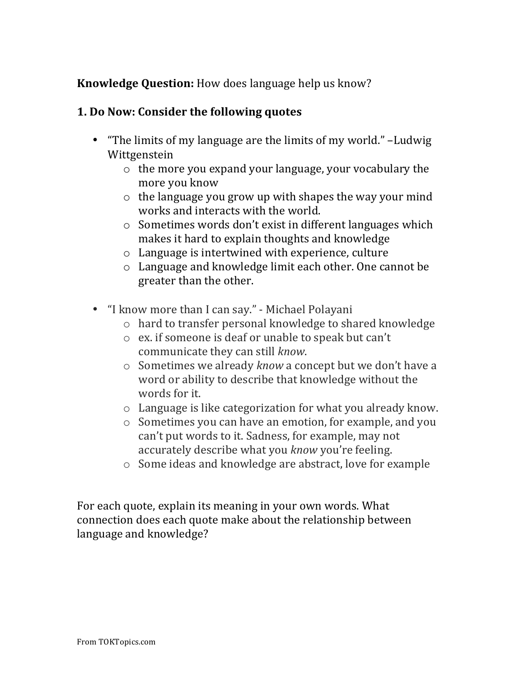## **Knowledge Question:** How does language help us know?

## **1.** Do Now: Consider the following quotes

- "The limits of my language are the limits of my world." –Ludwig Wittgenstein
	- $\circ$  the more you expand your language, your vocabulary the more you know
	- $\circ$  the language you grow up with shapes the way your mind works and interacts with the world.
	- $\circ$  Sometimes words don't exist in different languages which makes it hard to explain thoughts and knowledge
	- $\circ$  Language is intertwined with experience, culture
	- $\circ$  Language and knowledge limit each other. One cannot be greater than the other.
- "I know more than I can say." Michael Polayani
	- $\circ$  hard to transfer personal knowledge to shared knowledge
	- $\circ$  ex. if someone is deaf or unable to speak but can't communicate they can still *know*.
	- o Sometimes we already *know* a concept but we don't have a word or ability to describe that knowledge without the words for it.
	- $\circ$  Language is like categorization for what you already know.
	- $\circ$  Sometimes you can have an emotion, for example, and you can't put words to it. Sadness, for example, may not accurately describe what you *know* you're feeling.
	- $\circ$  Some ideas and knowledge are abstract, love for example

For each quote, explain its meaning in your own words. What connection does each quote make about the relationship between language and knowledge?